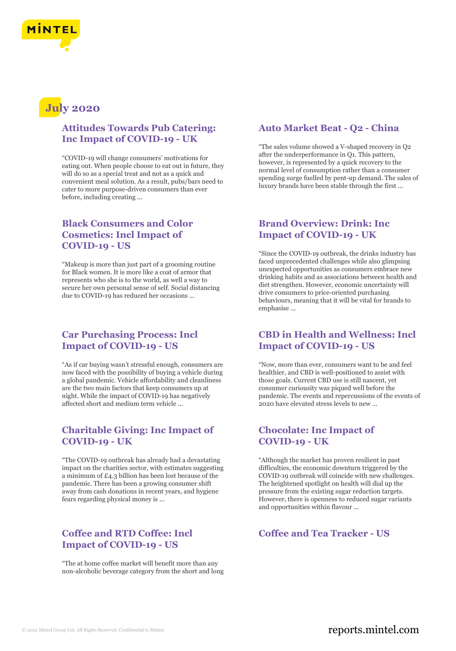

# **July 2020**

## **Attitudes Towards Pub Catering: Inc Impact of COVID-19 - UK**

"COVID-19 will change consumers' motivations for eating out. When people choose to eat out in future, they will do so as a special treat and not as a quick and convenient meal solution. As a result, pubs/bars need to cater to more purpose-driven consumers than ever before, including creating ...

# **Black Consumers and Color Cosmetics: Incl Impact of COVID-19 - US**

"Makeup is more than just part of a grooming routine for Black women. It is more like a coat of armor that represents who she is to the world, as well a way to secure her own personal sense of self. Social distancing due to COVID-19 has reduced her occasions ...

## **Car Purchasing Process: Incl Impact of COVID-19 - US**

"As if car buying wasn't stressful enough, consumers are now faced with the possibility of buying a vehicle during a global pandemic. Vehicle affordability and cleanliness are the two main factors that keep consumers up at night. While the impact of COVID-19 has negatively affected short and medium term vehicle ...

## **Charitable Giving: Inc Impact of COVID-19 - UK**

"The COVID-19 outbreak has already had a devastating impact on the charities sector, with estimates suggesting a minimum of £4.3 billion has been lost because of the pandemic. There has been a growing consumer shift away from cash donations in recent years, and hygiene fears regarding physical money is ...

#### **Coffee and RTD Coffee: Incl Impact of COVID-19 - US**

"The at home coffee market will benefit more than any non-alcoholic beverage category from the short and long

## **Auto Market Beat - Q2 - China**

"The sales volume showed a V-shaped recovery in Q2 after the underperformance in Q1. This pattern, however, is represented by a quick recovery to the normal level of consumption rather than a consumer spending surge fuelled by pent-up demand. The sales of luxury brands have been stable through the first ...

## **Brand Overview: Drink: Inc Impact of COVID-19 - UK**

"Since the COVID-19 outbreak, the drinks industry has faced unprecedented challenges while also glimpsing unexpected opportunities as consumers embrace new drinking habits and as associations between health and diet strengthen. However, economic uncertainty will drive consumers to price-oriented purchasing behaviours, meaning that it will be vital for brands to emphasise ...

## **CBD in Health and Wellness: Incl Impact of COVID-19 - US**

"Now, more than ever, consumers want to be and feel healthier, and CBD is well-positioned to assist with those goals. Current CBD use is still nascent, yet consumer curiousity was piqued well before the pandemic. The events and repercussions of the events of 2020 have elevated stress levels to new ...

#### **Chocolate: Inc Impact of COVID-19 - UK**

"Although the market has proven resilient in past difficulties, the economic downturn triggered by the COVID-19 outbreak will coincide with new challenges. The heightened spotlight on health will dial up the pressure from the existing sugar reduction targets. However, there is openness to reduced sugar variants and opportunities within flavour ...

#### **Coffee and Tea Tracker - US**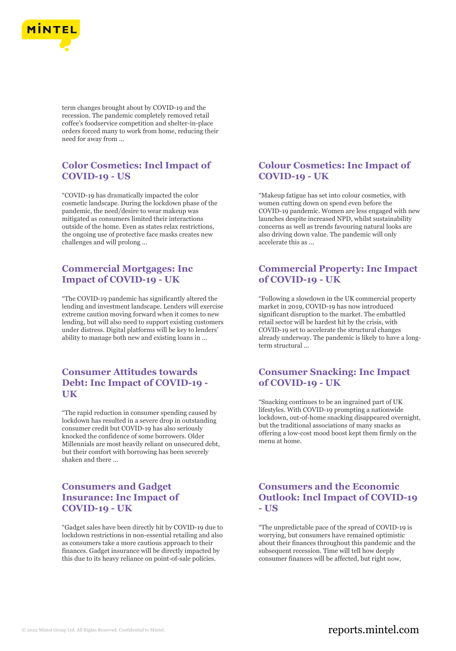

term changes brought about by COVID-19 and the recession. The pandemic completely removed retail coffee's foodservice competition and shelter-in-place orders forced many to work from home, reducing their need for away from ...

## **Color Cosmetics: Incl Impact of COVID-19 - US**

"COVID-19 has dramatically impacted the color cosmetic landscape. During the lockdown phase of the pandemic, the need/desire to wear makeup was mitigated as consumers limited their interactions outside of the home. Even as states relax restrictions, the ongoing use of protective face masks creates new challenges and will prolong ...

## **Commercial Mortgages: Inc Impact of COVID-19 - UK**

"The COVID-19 pandemic has significantly altered the lending and investment landscape. Lenders will exercise extreme caution moving forward when it comes to new lending, but will also need to support existing customers under distress. Digital platforms will be key to lenders' ability to manage both new and existing loans in ...

## **Consumer Attitudes towards Debt: Inc Impact of COVID-19 - UK**

"The rapid reduction in consumer spending caused by lockdown has resulted in a severe drop in outstanding consumer credit but COVID-19 has also seriously knocked the confidence of some borrowers. Older Millennials are most heavily reliant on unsecured debt, but their comfort with borrowing has been severely shaken and there ...

## **Consumers and Gadget Insurance: Inc Impact of COVID-19 - UK**

"Gadget sales have been directly hit by COVID-19 due to lockdown restrictions in non-essential retailing and also as consumers take a more cautious approach to their finances. Gadget insurance will be directly impacted by this due to its heavy reliance on point-of-sale policies.

## **Colour Cosmetics: Inc Impact of COVID-19 - UK**

"Makeup fatigue has set into colour cosmetics, with women cutting down on spend even before the COVID-19 pandemic. Women are less engaged with new launches despite increased NPD, whilst sustainability concerns as well as trends favouring natural looks are also driving down value. The pandemic will only accelerate this as ...

## **Commercial Property: Inc Impact of COVID-19 - UK**

"Following a slowdown in the UK commercial property market in 2019, COVID-19 has now introduced significant disruption to the market. The embattled retail sector will be hardest hit by the crisis, with COVID-19 set to accelerate the structural changes already underway. The pandemic is likely to have a longterm structural ...

## **Consumer Snacking: Inc Impact of COVID-19 - UK**

"Snacking continues to be an ingrained part of UK lifestyles. With COVID-19 prompting a nationwide lockdown, out-of-home snacking disappeared overnight, but the traditional associations of many snacks as offering a low-cost mood boost kept them firmly on the menu at home.

## **Consumers and the Economic Outlook: Incl Impact of COVID-19 - US**

"The unpredictable pace of the spread of COVID-19 is worrying, but consumers have remained optimistic about their finances throughout this pandemic and the subsequent recession. Time will tell how deeply consumer finances will be affected, but right now,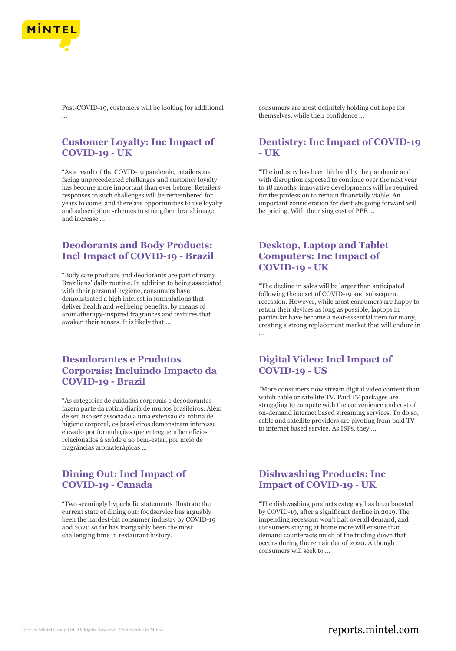

Post-COVID-19, customers will be looking for additional ...

## **Customer Loyalty: Inc Impact of COVID-19 - UK**

"As a result of the COVID-19 pandemic, retailers are facing unprecedented challenges and customer loyalty has become more important than ever before. Retailers' responses to such challenges will be remembered for years to come, and there are opportunities to use loyalty and subscription schemes to strengthen brand image and increase ...

## **Deodorants and Body Products: Incl Impact of COVID-19 - Brazil**

"Body care products and deodorants are part of many Brazilians' daily routine. In addition to being associated with their personal hygiene, consumers have demonstrated a high interest in formulations that deliver health and wellbeing benefits, by means of aromatherapy-inspired fragrances and textures that awaken their senses. It is likely that ...

## **Desodorantes e Produtos Corporais: Incluindo Impacto da COVID-19 - Brazil**

"As categorias de cuidados corporais e desodorantes fazem parte da rotina diária de muitos brasileiros. Além de seu uso ser associado a uma extensão da rotina de higiene corporal, os brasileiros demonstram interesse elevado por formulações que entreguem benefícios relacionados à saúde e ao bem-estar, por meio de fragrâncias aromaterápicas ...

#### **Dining Out: Incl Impact of COVID-19 - Canada**

"Two seemingly hyperbolic statements illustrate the current state of dining out: foodservice has arguably been the hardest-hit consumer industry by COVID-19 and 2020 so far has inarguably been the most challenging time in restaurant history.

consumers are most definitely holding out hope for themselves, while their confidence ...

#### **Dentistry: Inc Impact of COVID-19 - UK**

"The industry has been hit hard by the pandemic and with disruption expected to continue over the next year to 18 months, innovative developments will be required for the profession to remain financially viable. An important consideration for dentists going forward will be pricing. With the rising cost of PPE ...

## **Desktop, Laptop and Tablet Computers: Inc Impact of COVID-19 - UK**

"The decline in sales will be larger than anticipated following the onset of COVID-19 and subsequent recession. However, while most consumers are happy to retain their devices as long as possible, laptops in particular have become a near-essential item for many, creating a strong replacement market that will endure in ...

## **Digital Video: Incl Impact of COVID-19 - US**

"More consumers now stream digital video content than watch cable or satellite TV. Paid TV packages are struggling to compete with the convenience and cost of on-demand internet based streaming services. To do so, cable and satellite providers are pivoting from paid TV to internet based service. As ISPs, they ...

## **Dishwashing Products: Inc Impact of COVID-19 - UK**

"The dishwashing products category has been boosted by COVID-19, after a significant decline in 2019. The impending recession won't halt overall demand, and consumers staying at home more will ensure that demand counteracts much of the trading down that occurs during the remainder of 2020. Although consumers will seek to ...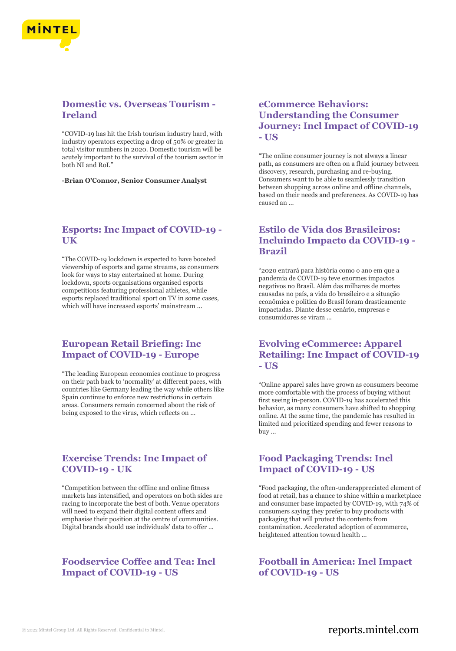

# **Domestic vs. Overseas Tourism - Ireland**

"COVID-19 has hit the Irish tourism industry hard, with industry operators expecting a drop of 50% or greater in total visitor numbers in 2020. Domestic tourism will be acutely important to the survival of the tourism sector in both NI and RoI."

**-Brian O'Connor, Senior Consumer Analyst**

#### **Esports: Inc Impact of COVID-19 - UK**

"The COVID-19 lockdown is expected to have boosted viewership of esports and game streams, as consumers look for ways to stay entertained at home. During lockdown, sports organisations organised esports competitions featuring professional athletes, while esports replaced traditional sport on TV in some cases, which will have increased esports' mainstream ...

## **European Retail Briefing: Inc Impact of COVID-19 - Europe**

"The leading European economies continue to progress on their path back to 'normality' at different paces, with countries like Germany leading the way while others like Spain continue to enforce new restrictions in certain areas. Consumers remain concerned about the risk of being exposed to the virus, which reflects on ...

## **Exercise Trends: Inc Impact of COVID-19 - UK**

"Competition between the offline and online fitness markets has intensified, and operators on both sides are racing to incorporate the best of both. Venue operators will need to expand their digital content offers and emphasise their position at the centre of communities. Digital brands should use individuals' data to offer ...

# **Foodservice Coffee and Tea: Incl Impact of COVID-19 - US**

## **eCommerce Behaviors: Understanding the Consumer Journey: Incl Impact of COVID-19 - US**

"The online consumer journey is not always a linear path, as consumers are often on a fluid journey between discovery, research, purchasing and re-buying. Consumers want to be able to seamlessly transition between shopping across online and offline channels, based on their needs and preferences. As COVID-19 has caused an ...

# **Estilo de Vida dos Brasileiros: Incluindo Impacto da COVID-19 - Brazil**

"2020 entrará para história como o ano em que a pandemia de COVID-19 teve enormes impactos negativos no Brasil. Além das milhares de mortes causadas no país, a vida do brasileiro e a situação econômica e política do Brasil foram drasticamente impactadas. Diante desse cenário, empresas e consumidores se viram ...

## **Evolving eCommerce: Apparel Retailing: Inc Impact of COVID-19 - US**

"Online apparel sales have grown as consumers become more comfortable with the process of buying without first seeing in-person. COVID-19 has accelerated this behavior, as many consumers have shifted to shopping online. At the same time, the pandemic has resulted in limited and prioritized spending and fewer reasons to buy ...

## **Food Packaging Trends: Incl Impact of COVID-19 - US**

"Food packaging, the often-underappreciated element of food at retail, has a chance to shine within a marketplace and consumer base impacted by COVID-19, with 74% of consumers saying they prefer to buy products with packaging that will protect the contents from contamination. Accelerated adoption of ecommerce, heightened attention toward health ...

**Football in America: Incl Impact of COVID-19 - US**

# © 2022 Mintel Group Ltd. All Rights Reserved. Confidential to Mintel.  $\blacksquare$  reports.mintel.com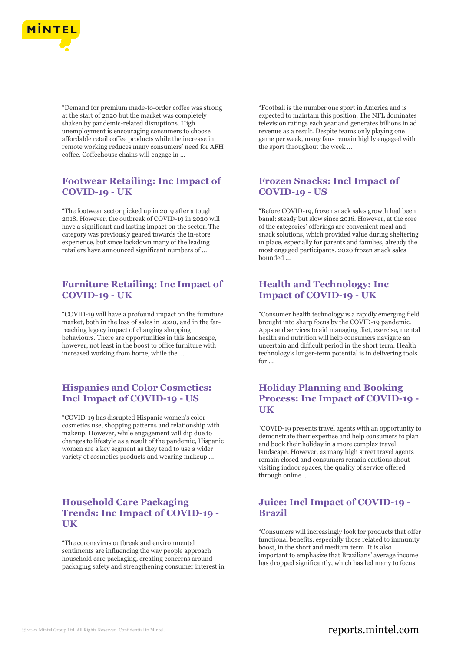

"Demand for premium made-to-order coffee was strong at the start of 2020 but the market was completely shaken by pandemic-related disruptions. High unemployment is encouraging consumers to choose affordable retail coffee products while the increase in remote working reduces many consumers' need for AFH coffee. Coffeehouse chains will engage in ...

# **Footwear Retailing: Inc Impact of COVID-19 - UK**

"The footwear sector picked up in 2019 after a tough 2018. However, the outbreak of COVID-19 in 2020 will have a significant and lasting impact on the sector. The category was previously geared towards the in-store experience, but since lockdown many of the leading retailers have announced significant numbers of ...

#### **Furniture Retailing: Inc Impact of COVID-19 - UK**

"COVID-19 will have a profound impact on the furniture market, both in the loss of sales in 2020, and in the farreaching legacy impact of changing shopping behaviours. There are opportunities in this landscape, however, not least in the boost to office furniture with increased working from home, while the ...

## **Hispanics and Color Cosmetics: Incl Impact of COVID-19 - US**

"COVID-19 has disrupted Hispanic women's color cosmetics use, shopping patterns and relationship with makeup. However, while engagement will dip due to changes to lifestyle as a result of the pandemic, Hispanic women are a key segment as they tend to use a wider variety of cosmetics products and wearing makeup ...

# **Household Care Packaging Trends: Inc Impact of COVID-19 - UK**

"The coronavirus outbreak and environmental sentiments are influencing the way people approach household care packaging, creating concerns around packaging safety and strengthening consumer interest in "Football is the number one sport in America and is expected to maintain this position. The NFL dominates television ratings each year and generates billions in ad revenue as a result. Despite teams only playing one game per week, many fans remain highly engaged with the sport throughout the week ...

## **Frozen Snacks: Incl Impact of COVID-19 - US**

"Before COVID-19, frozen snack sales growth had been banal: steady but slow since 2016. However, at the core of the categories' offerings are convenient meal and snack solutions, which provided value during sheltering in place, especially for parents and families, already the most engaged participants. 2020 frozen snack sales bounded ...

## **Health and Technology: Inc Impact of COVID-19 - UK**

"Consumer health technology is a rapidly emerging field brought into sharp focus by the COVID-19 pandemic. Apps and services to aid managing diet, exercise, mental health and nutrition will help consumers navigate an uncertain and difficult period in the short term. Health technology's longer-term potential is in delivering tools for ...

# **Holiday Planning and Booking Process: Inc Impact of COVID-19 - UK**

"COVID-19 presents travel agents with an opportunity to demonstrate their expertise and help consumers to plan and book their holiday in a more complex travel landscape. However, as many high street travel agents remain closed and consumers remain cautious about visiting indoor spaces, the quality of service offered through online ...

#### **Juice: Incl Impact of COVID-19 - Brazil**

"Consumers will increasingly look for products that offer functional benefits, especially those related to immunity boost, in the short and medium term. It is also important to emphasize that Brazilians' average income has dropped significantly, which has led many to focus

# © 2022 Mintel Group Ltd. All Rights Reserved. Confidential to Mintel.  $\blacksquare$  reports.mintel.com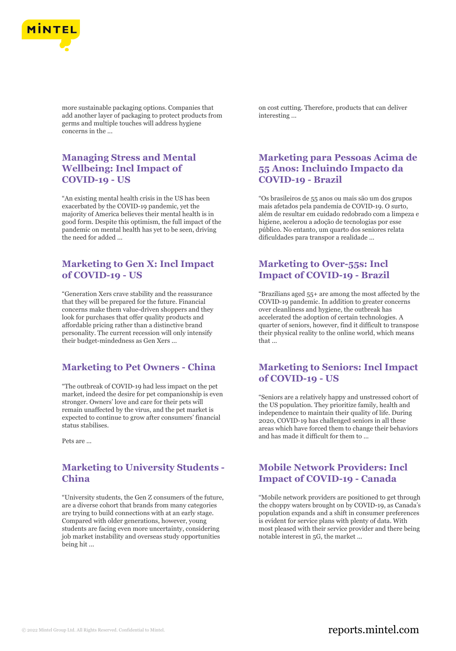

more sustainable packaging options. Companies that add another layer of packaging to protect products from germs and multiple touches will address hygiene concerns in the ...

## **Managing Stress and Mental Wellbeing: Incl Impact of COVID-19 - US**

"An existing mental health crisis in the US has been exacerbated by the COVID-19 pandemic, yet the majority of America believes their mental health is in good form. Despite this optimism, the full impact of the pandemic on mental health has yet to be seen, driving the need for added ...

# **Marketing to Gen X: Incl Impact of COVID-19 - US**

"Generation Xers crave stability and the reassurance that they will be prepared for the future. Financial concerns make them value-driven shoppers and they look for purchases that offer quality products and affordable pricing rather than a distinctive brand personality. The current recession will only intensify their budget-mindedness as Gen Xers ...

#### **Marketing to Pet Owners - China**

"The outbreak of COVID-19 had less impact on the pet market, indeed the desire for pet companionship is even stronger. Owners' love and care for their pets will remain unaffected by the virus, and the pet market is expected to continue to grow after consumers' financial status stabilises.

Pets are ...

## **Marketing to University Students - China**

"University students, the Gen Z consumers of the future, are a diverse cohort that brands from many categories are trying to build connections with at an early stage. Compared with older generations, however, young students are facing even more uncertainty, considering job market instability and overseas study opportunities being hit ...

on cost cutting. Therefore, products that can deliver interesting ...

## **Marketing para Pessoas Acima de 55 Anos: Incluindo Impacto da COVID-19 - Brazil**

"Os brasileiros de 55 anos ou mais são um dos grupos mais afetados pela pandemia de COVID-19. O surto, além de resultar em cuidado redobrado com a limpeza e higiene, acelerou a adoção de tecnologias por esse público. No entanto, um quarto dos seniores relata dificuldades para transpor a realidade ...

# **Marketing to Over-55s: Incl Impact of COVID-19 - Brazil**

"Brazilians aged 55+ are among the most affected by the COVID-19 pandemic. In addition to greater concerns over cleanliness and hygiene, the outbreak has accelerated the adoption of certain technologies. A quarter of seniors, however, find it difficult to transpose their physical reality to the online world, which means that ...

#### **Marketing to Seniors: Incl Impact of COVID-19 - US**

"Seniors are a relatively happy and unstressed cohort of the US population. They prioritize family, health and independence to maintain their quality of life. During 2020, COVID-19 has challenged seniors in all these areas which have forced them to change their behaviors and has made it difficult for them to ...

## **Mobile Network Providers: Incl Impact of COVID-19 - Canada**

"Mobile network providers are positioned to get through the choppy waters brought on by COVID-19, as Canada's population expands and a shift in consumer preferences is evident for service plans with plenty of data. With most pleased with their service provider and there being notable interest in 5G, the market ...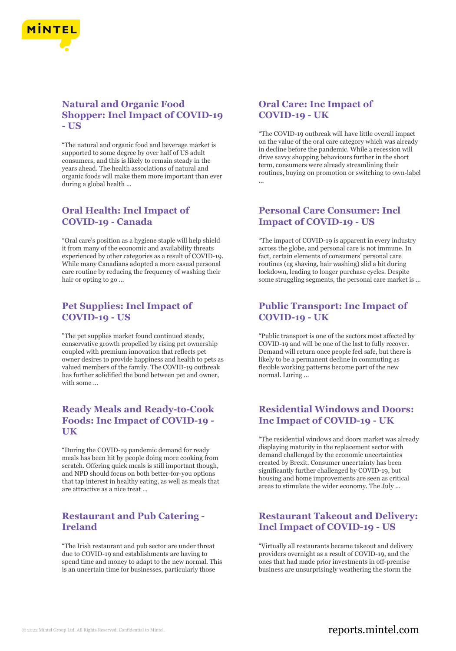

## **Natural and Organic Food Shopper: Incl Impact of COVID-19 - US**

"The natural and organic food and beverage market is supported to some degree by over half of US adult consumers, and this is likely to remain steady in the years ahead. The health associations of natural and organic foods will make them more important than ever during a global health ...

# **Oral Health: Incl Impact of COVID-19 - Canada**

"Oral care's position as a hygiene staple will help shield it from many of the economic and availability threats experienced by other categories as a result of COVID-19. While many Canadians adopted a more casual personal care routine by reducing the frequency of washing their hair or opting to go ...

## **Pet Supplies: Incl Impact of COVID-19 - US**

"The pet supplies market found continued steady, conservative growth propelled by rising pet ownership coupled with premium innovation that reflects pet owner desires to provide happiness and health to pets as valued members of the family. The COVID-19 outbreak has further solidified the bond between pet and owner, with some ...

# **Ready Meals and Ready-to-Cook Foods: Inc Impact of COVID-19 - UK**

"During the COVID-19 pandemic demand for ready meals has been hit by people doing more cooking from scratch. Offering quick meals is still important though, and NPD should focus on both better-for-you options that tap interest in healthy eating, as well as meals that are attractive as a nice treat ...

## **Restaurant and Pub Catering - Ireland**

"The Irish restaurant and pub sector are under threat due to COVID-19 and establishments are having to spend time and money to adapt to the new normal. This is an uncertain time for businesses, particularly those

# **Oral Care: Inc Impact of COVID-19 - UK**

"The COVID-19 outbreak will have little overall impact on the value of the oral care category which was already in decline before the pandemic. While a recession will drive savvy shopping behaviours further in the short term, consumers were already streamlining their routines, buying on promotion or switching to own-label ...

# **Personal Care Consumer: Incl Impact of COVID-19 - US**

"The impact of COVID-19 is apparent in every industry across the globe, and personal care is not immune. In fact, certain elements of consumers' personal care routines (eg shaving, hair washing) slid a bit during lockdown, leading to longer purchase cycles. Despite some struggling segments, the personal care market is ...

## **Public Transport: Inc Impact of COVID-19 - UK**

"Public transport is one of the sectors most affected by COVID-19 and will be one of the last to fully recover. Demand will return once people feel safe, but there is likely to be a permanent decline in commuting as flexible working patterns become part of the new normal. Luring ...

# **Residential Windows and Doors: Inc Impact of COVID-19 - UK**

"The residential windows and doors market was already displaying maturity in the replacement sector with demand challenged by the economic uncertainties created by Brexit. Consumer uncertainty has been significantly further challenged by COVID-19, but housing and home improvements are seen as critical areas to stimulate the wider economy. The July ...

# **Restaurant Takeout and Delivery: Incl Impact of COVID-19 - US**

"Virtually all restaurants became takeout and delivery providers overnight as a result of COVID-19, and the ones that had made prior investments in off-premise business are unsurprisingly weathering the storm the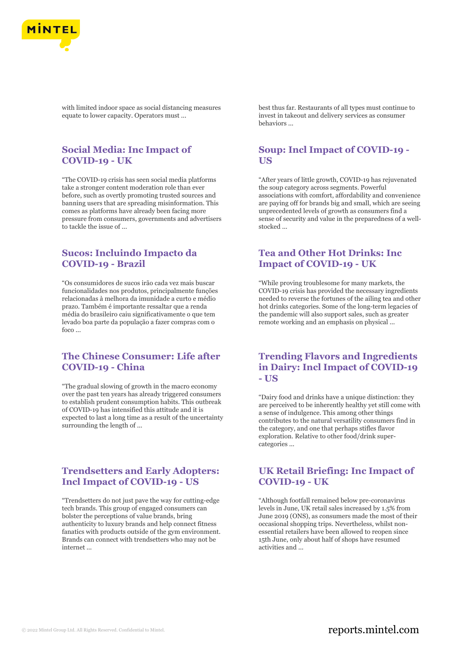

with limited indoor space as social distancing measures equate to lower capacity. Operators must ...

# **Social Media: Inc Impact of COVID-19 - UK**

"The COVID-19 crisis has seen social media platforms take a stronger content moderation role than ever before, such as overtly promoting trusted sources and banning users that are spreading misinformation. This comes as platforms have already been facing more pressure from consumers, governments and advertisers to tackle the issue of ...

## **Sucos: Incluindo Impacto da COVID-19 - Brazil**

"Os consumidores de sucos irão cada vez mais buscar funcionalidades nos produtos, principalmente funções relacionadas à melhora da imunidade a curto e médio prazo. Também é importante ressaltar que a renda média do brasileiro caiu significativamente o que tem levado boa parte da população a fazer compras com o foco ...

## **The Chinese Consumer: Life after COVID-19 - China**

"The gradual slowing of growth in the macro economy over the past ten years has already triggered consumers to establish prudent consumption habits. This outbreak of COVID-19 has intensified this attitude and it is expected to last a long time as a result of the uncertainty surrounding the length of ...

#### **Trendsetters and Early Adopters: Incl Impact of COVID-19 - US**

"Trendsetters do not just pave the way for cutting-edge tech brands. This group of engaged consumers can bolster the perceptions of value brands, bring authenticity to luxury brands and help connect fitness fanatics with products outside of the gym environment. Brands can connect with trendsetters who may not be internet ...

best thus far. Restaurants of all types must continue to invest in takeout and delivery services as consumer behaviors ...

## **Soup: Incl Impact of COVID-19 - US**

"After years of little growth, COVID-19 has rejuvenated the soup category across segments. Powerful associations with comfort, affordability and convenience are paying off for brands big and small, which are seeing unprecedented levels of growth as consumers find a sense of security and value in the preparedness of a wellstocked ...

# **Tea and Other Hot Drinks: Inc Impact of COVID-19 - UK**

"While proving troublesome for many markets, the COVID-19 crisis has provided the necessary ingredients needed to reverse the fortunes of the ailing tea and other hot drinks categories. Some of the long-term legacies of the pandemic will also support sales, such as greater remote working and an emphasis on physical ...

## **Trending Flavors and Ingredients in Dairy: Incl Impact of COVID-19 - US**

"Dairy food and drinks have a unique distinction: they are perceived to be inherently healthy yet still come with a sense of indulgence. This among other things contributes to the natural versatility consumers find in the category, and one that perhaps stifles flavor exploration. Relative to other food/drink supercategories ...

#### **UK Retail Briefing: Inc Impact of COVID-19 - UK**

"Although footfall remained below pre-coronavirus levels in June, UK retail sales increased by 1.5% from June 2019 (ONS), as consumers made the most of their occasional shopping trips. Nevertheless, whilst nonessential retailers have been allowed to reopen since 15th June, only about half of shops have resumed activities and ...